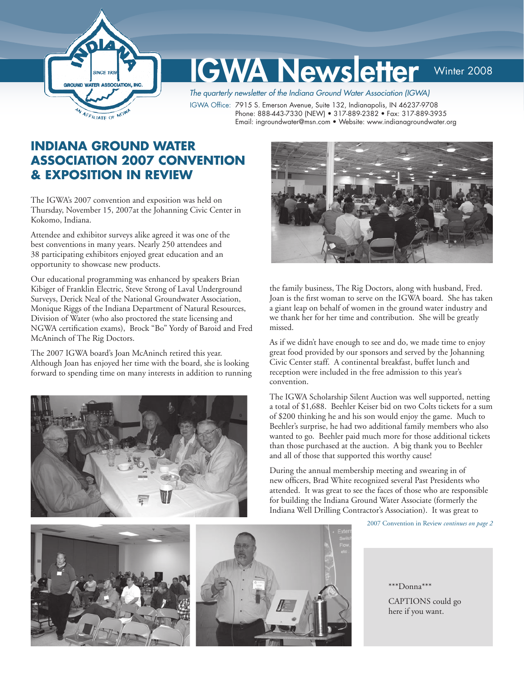

# GWA Newsletter Winter 2008

The quarterly newsletter of the Indiana Ground Water Association (IGWA)

IGWA Office: 7915 S. Emerson Avenue, Suite 132, Indianapolis, IN 46237-9708 Phone: 888-443-7330 (NEW) • 317-889-2382 • Fax: 317-889-3935 Email: ingroundwater@msn.com • Website: www.indianagroundwater.org

# **INDIANA GROUND WATER ASSOCIATION 2007 CONVENTION & EXPOSITION IN REVIEW**

The IGWA's 2007 convention and exposition was held on Thursday, November 15, 2007at the Johanning Civic Center in Kokomo, Indiana.

Attendee and exhibitor surveys alike agreed it was one of the best conventions in many years. Nearly 250 attendees and 38 participating exhibitors enjoyed great education and an opportunity to showcase new products.

Our educational programming was enhanced by speakers Brian Kibiger of Franklin Electric, Steve Strong of Laval Underground Surveys, Derick Neal of the National Groundwater Association, Monique Riggs of the Indiana Department of Natural Resources, Division of Water (who also proctored the state licensing and NGWA certification exams), Brock "Bo" Yordy of Baroid and Fred McAninch of The Rig Doctors.

The 2007 IGWA board's Joan McAninch retired this year. Although Joan has enjoyed her time with the board, she is looking forward to spending time on many interests in addition to running





the family business, The Rig Doctors, along with husband, Fred. Joan is the first woman to serve on the IGWA board. She has taken a giant leap on behalf of women in the ground water industry and we thank her for her time and contribution. She will be greatly missed.

As if we didn't have enough to see and do, we made time to enjoy great food provided by our sponsors and served by the Johanning Civic Center staff. A continental breakfast, buffet lunch and reception were included in the free admission to this year's convention.

The IGWA Scholarship Silent Auction was well supported, netting a total of \$1,688. Beehler Keiser bid on two Colts tickets for a sum of \$200 thinking he and his son would enjoy the game. Much to Beehler's surprise, he had two additional family members who also wanted to go. Beehler paid much more for those additional tickets than those purchased at the auction. A big thank you to Beehler and all of those that supported this worthy cause!

During the annual membership meeting and swearing in of new officers, Brad White recognized several Past Presidents who attended. It was great to see the faces of those who are responsible for building the Indiana Ground Water Associate (formerly the Indiana Well Drilling Contractor's Association). It was great to

2007 Convention in Review *continues on page 2*





\*\*\*Donna\*\*\*

CAPTIONS could go here if you want.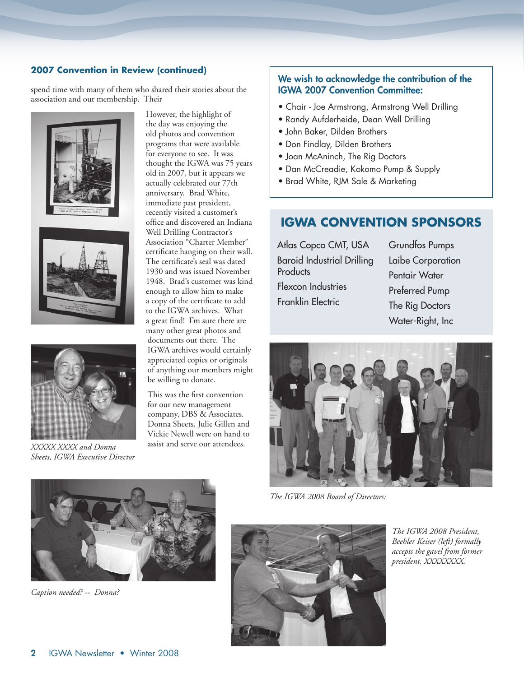## **2007 Convention in Review (continued)**

spend time with many of them who shared their stories about the association and our membership. Their







*XXXXX XXXX and Donna Sheets, IGWA Executive Director*

However, the highlight of the day was enjoying the old photos and convention programs that were available for everyone to see. It was thought the IGWA was 75 years old in 2007, but it appears we actually celebrated our 77th anniversary. Brad White, immediate past president, recently visited a customer's office and discovered an Indiana Well Drilling Contractor's Association "Charter Member" certificate hanging on their wall. The certificate's seal was dated 1930 and was issued November 1948. Brad's customer was kind enough to allow him to make a copy of the certificate to add to the IGWA archives. What a great find! I'm sure there are many other great photos and documents out there. The IGWA archives would certainly appreciated copies or originals of anything our members might be willing to donate.

This was the first convention for our new management company, DBS & Associates. Donna Sheets, Julie Gillen and Vickie Newell were on hand to assist and serve our attendees.

## We wish to acknowledge the contribution of the IGWA 2007 Convention Committee:

- Chair Joe Armstrong, Armstrong Well Drilling
- Randy Aufderheide, Dean Well Drilling
- John Baker, Dilden Brothers
- Don Findlay, Dilden Brothers
- Joan McAninch, The Rig Doctors
- Dan McCreadie, Kokomo Pump & Supply
- Brad White, RJM Sale & Marketing

# **IGWA CONVENTION SPONSORS**

Atlas Copco CMT, USA Baroid Industrial Drilling **Products** Flexcon Industries Franklin Electric

Grundfos Pumps Laibe Corporation Pentair Water Preferred Pump The Rig Doctors Water-Right, Inc



*The IGWA 2008 Board of Directors:* 



*Caption needed? -- Donna?*



*The IGWA 2008 President, Beehler Keiser (left) formally accepts the gavel from former president, XXXXXXXX.*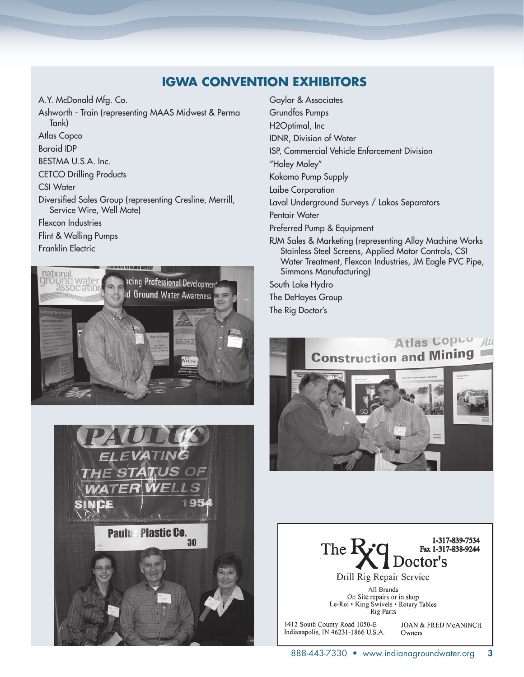# **IGWA CONVENTION EXHIBITORS**

A.Y. McDonald Mfg. Co. Ashworth - Train (representing MAAS Midwest & Perma Tank) Atlas Copco Baroid IDP BESTMA U.S.A. Inc. CETCO Drilling Products CSI Water Diversified Sales Group (representing Cresline, Merrill, Service Wire, Well Mate) Flexcon Industries Flint & Walling Pumps Franklin Electric





Gaylor & Associates Grundfos Pumps H2Optimal, Inc IDNR, Division of Water ISP, Commercial Vehicle Enforcement Division "Holey Moley" Kokomo Pump Supply Laibe Corporation Laval Underground Surveys / Lakos Separators Pentair Water Preferred Pump & Equipment RJM Sales & Marketing (representing Alloy Machine Works Stainless Steel Screens, Applied Motor Controls, CSI Water Treatment, Flexcon Industries, JM Eagle PVC Pipe, Simmons Manufacturing) South Lake Hydro

The DeHayes Group

The Rig Doctor's



1-317-839-7534 The R Fax 1-317-838-9244 Doctor's Drill Rig Repair Service

All Brands On Site repairs or in shop<br>Le-Roi • King Swivels • Rotary Tables **Rig Parts** 

1412 South County Road 1050-E Indianapolis, IN 46231-1866 U.S.A.

JOAN & FRED McANINCH Owners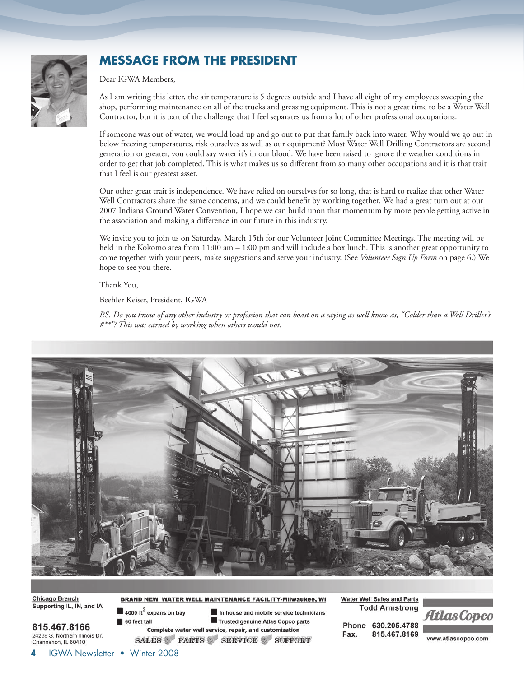

# **MESSAGE FROM THE PRESIDENT**

Dear IGWA Members,

As I am writing this letter, the air temperature is 5 degrees outside and I have all eight of my employees sweeping the shop, performing maintenance on all of the trucks and greasing equipment. This is not a great time to be a Water Well Contractor, but it is part of the challenge that I feel separates us from a lot of other professional occupations.

If someone was out of water, we would load up and go out to put that family back into water. Why would we go out in below freezing temperatures, risk ourselves as well as our equipment? Most Water Well Drilling Contractors are second generation or greater, you could say water it's in our blood. We have been raised to ignore the weather conditions in order to get that job completed. This is what makes us so different from so many other occupations and it is that trait that I feel is our greatest asset.

Our other great trait is independence. We have relied on ourselves for so long, that is hard to realize that other Water Well Contractors share the same concerns, and we could benefit by working together. We had a great turn out at our 2007 Indiana Ground Water Convention, I hope we can build upon that momentum by more people getting active in the association and making a difference in our future in this industry.

We invite you to join us on Saturday, March 15th for our Volunteer Joint Committee Meetings. The meeting will be held in the Kokomo area from 11:00 am – 1:00 pm and will include a box lunch. This is another great opportunity to come together with your peers, make suggestions and serve your industry. (See *Volunteer Sign Up Form* on page 6.) We hope to see you there.

Thank You,

Beehler Keiser, President, IGWA

*P.S. Do you know of any other industry or profession that can boast on a saying as well know as, "Colder than a Well Driller's #\*\*"? This was earned by working when others would not.*



**Chicago Branch** Supporting IL, IN, and IA

815.467.8166 24238 S. Northern Illinois Dr. Channahon, IL 60410

BRAND NEW WATER WELL MAINTENANCE FACILITY-Milwaukee, WI

 $\blacksquare$  4000 ft<sup>2</sup> expansion bay 60 feet tall

In house and mobile service technicians Trusted genuine Atlas Copco parts Complete water well service, repair, and customization SALES PARTS SERVICE SUPPORT

**Water Well Sales and Parts Todd Armstrong** 

Phone 630.205.4788 Fax. 815.467.8169

www.atlascopco.com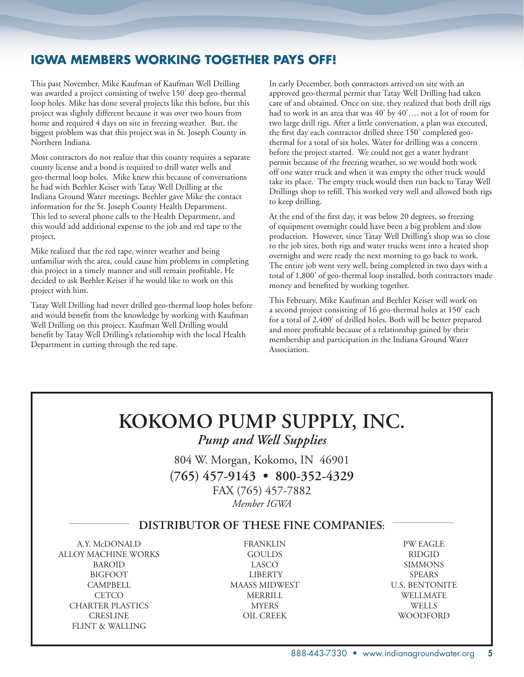# **IGWA MEMBERS WORKING TOGETHER PAYS OFF!**

This past November, Mike Kaufman of Kaufman Well Drilling was awarded a project consisting of twelve 150' deep geo-thermal loop holes. Mike has done several projects like this before, but this project was slightly different because it was over two hours from home and required 4 days on site in freezing weather. But, the biggest problem was that this project was in St. Joseph County in Northern Indiana.

Most contractors do not realize that this county requires a separate county license and a bond is required to drill water wells and geo-thermal loop holes. Mike knew this because of conversations he had with Beehler Keiser with Tatay Well Drilling at the Indiana Ground Water meetings. Beehler gave Mike the contact information for the St. Joseph County Health Department. This led to several phone calls to the Health Department, and this would add additional expense to the job and red tape to the project.

Mike realized that the red tape, winter weather and being unfamiliar with the area, could cause him problems in completing this project in a timely manner and still remain profitable. He decided to ask Beehler Keiser if he would like to work on this project with him.

Tatay Well Drilling had never drilled geo-thermal loop holes before and would benefit from the knowledge by working with Kaufman Well Drilling on this project. Kaufman Well Drilling would benefit by Tatay Well Drilling's relationship with the local Health Department in cutting through the red tape.

In early December, both contractors arrived on site with an approved geo-thermal permit that Tatay Well Drilling had taken care of and obtained. Once on site, they realized that both drill rigs had to work in an area that was 40' by 40'…. not a lot of room for two large drill rigs. After a little conversation, a plan was executed, the first day each contractor drilled three 150' completed geothermal for a total of six holes. Water for drilling was a concern before the project started. We could not get a water hydrant permit because of the freezing weather, so we would both work off one water truck and when it was empty the other truck would take its place. The empty truck would then run back to Tatay Well Drillings shop to refill. This worked very well and allowed both rigs to keep drilling.

At the end of the first day, it was below 20 degrees, so freezing of equipment overnight could have been a big problem and slow production. However, since Tatay Well Drilling's shop was so close to the job sites, both rigs and water trucks went into a heated shop overnight and were ready the next morning to go back to work. The entire job went very well, being completed in two days with a total of 1,800' of geo-thermal loop installed, both contractors made money and benefited by working together.

This February, Mike Kaufman and Beehler Keiser will work on a second project consisting of 16 geo-thermal holes at 150' each for a total of 2,400' of drilled holes. Both will be better prepared and more profitable because of a relationship gained by their membership and participation in the Indiana Ground Water Association.

# **KOKOMO PUMP SUPPLY, INC.**

*Pump and Well Supplies*

804 W. Morgan, Kokomo, IN 46901 **(765) 457-9143 • 800-352-4329** FAX (765) 457-7882 *Member IGWA*

## **DISTRIBUTOR OF THESE FINE COMPANIES:**

 ALLOY MACHINE WORKS GOULDS RIDGID BIGFOOT LIBERTY SPEARS CAMPBELL MAASS MIDWEST U.S. BENTONITE CHARTER PLASTICS MYERS WELLS CRESLINE OIL CREEK WOODFORD FLINT & WALLING

 A.Y. McDONALD FRANKLIN PW EAGLE BAROID LASCO SIMMONS CETCO MERRILL WELLMATE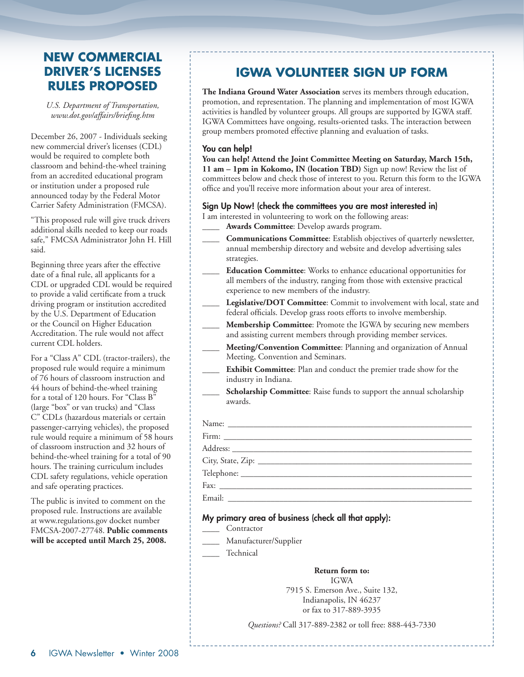# **NEW COMMERCIAL DRIVER'S LICENSES RULES PROPOSED**

*U.S. Department of Transportation, www.dot.gov/affairs/briefing.htm*

December 26, 2007 - Individuals seeking new commercial driver's licenses (CDL) would be required to complete both classroom and behind-the-wheel training from an accredited educational program or institution under a proposed rule announced today by the Federal Motor Carrier Safety Administration (FMCSA).

"This proposed rule will give truck drivers additional skills needed to keep our roads safe," FMCSA Administrator John H. Hill said.

Beginning three years after the effective date of a final rule, all applicants for a CDL or upgraded CDL would be required to provide a valid certificate from a truck driving program or institution accredited by the U.S. Department of Education or the Council on Higher Education Accreditation. The rule would not affect current CDL holders.

For a "Class A" CDL (tractor-trailers), the proposed rule would require a minimum of 76 hours of classroom instruction and 44 hours of behind-the-wheel training for a total of 120 hours. For "Class B" (large "box" or van trucks) and "Class C" CDLs (hazardous materials or certain passenger-carrying vehicles), the proposed rule would require a minimum of 58 hours of classroom instruction and 32 hours of behind-the-wheel training for a total of 90 hours. The training curriculum includes CDL safety regulations, vehicle operation and safe operating practices.

The public is invited to comment on the proposed rule. Instructions are available at www.regulations.gov docket number FMCSA-2007-27748. **Public comments will be accepted until March 25, 2008.**

# **IGWA VOLUNTEER SIGN UP FORM**

**The Indiana Ground Water Association** serves its members through education, promotion, and representation. The planning and implementation of most IGWA activities is handled by volunteer groups. All groups are supported by IGWA staff. IGWA Committees have ongoing, results-oriented tasks. The interaction between group members promoted effective planning and evaluation of tasks.

### You can help!

**You can help! Attend the Joint Committee Meeting on Saturday, March 15th, 11 am – 1pm in Kokomo, IN (location TBD)** Sign up now! Review the list of committees below and check those of interest to you. Return this form to the IGWA office and you'll receive more information about your area of interest.

## Sign Up Now! (check the committees you are most interested in)

I am interested in volunteering to work on the following areas:

- **\_\_\_\_ Awards Committee**: Develop awards program.
- **\_\_\_\_ Communications Committee**: Establish objectives of quarterly newsletter, annual membership directory and website and develop advertising sales strategies.
- **\_\_\_\_ Education Committee**: Works to enhance educational opportunities for all members of the industry, ranging from those with extensive practical experience to new members of the industry.
- Legislative/DOT Committee: Commit to involvement with local, state and federal officials. Develop grass roots efforts to involve membership.
- **\_\_\_\_ Membership Committee**: Promote the IGWA by securing new members and assisting current members through providing member services.
- **\_\_\_\_ Meeting/Convention Committee**: Planning and organization of Annual Meeting, Convention and Seminars.
- **\_\_\_\_ Exhibit Committee**: Plan and conduct the premier trade show for the industry in Indiana.
	- **Scholarship Committee**: Raise funds to support the annual scholarship awards.

| Email:<br><u> 1980 - Jan Samuel Barbara, martin d</u> |
|-------------------------------------------------------|

## My primary area of business (check all that apply):

- **\_\_\_\_** Contractor
- **\_\_\_\_** Manufacturer/Supplier
- **\_\_\_\_** Technical

**Return form to:** IGWA 7915 S. Emerson Ave., Suite 132, Indianapolis, IN 46237 or fax to 317-889-3935

*Questions?* Call 317-889-2382 or toll free: 888-443-7330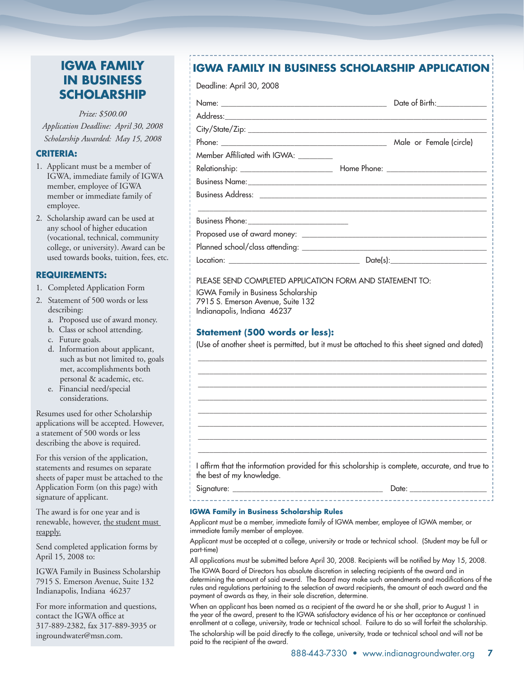# **IGWA FAMILY IN BUSINESS SCHOLARSHIP**

*Prize: \$500.00 Application Deadline: April 30, 2008 Scholarship Awarded: May 15, 2008*

## **CRITERIA:**

- 1. Applicant must be a member of IGWA, immediate family of IGWA member, employee of IGWA member or immediate family of employee.
- 2. Scholarship award can be used at any school of higher education (vocational, technical, community college, or university). Award can be used towards books, tuition, fees, etc.

## **REQUIREMENTS:**

- 1. Completed Application Form
- 2. Statement of 500 words or less describing:
	- a. Proposed use of award money.
	- b. Class or school attending.
	- c. Future goals.
	- d. Information about applicant, such as but not limited to, goals met, accomplishments both personal & academic, etc.
	- e. Financial need/special considerations.

Resumes used for other Scholarship applications will be accepted. However, a statement of 500 words or less describing the above is required.

For this version of the application, statements and resumes on separate sheets of paper must be attached to the Application Form (on this page) with signature of applicant.

The award is for one year and is renewable, however, the student must reapply.

Send completed application forms by April 15, 2008 to:

IGWA Family in Business Scholarship 7915 S. Emerson Avenue, Suite 132 Indianapolis, Indiana 46237

For more information and questions, contact the IGWA office at 317-889-2382, fax 317-889-3935 or ingroundwater@msn.com.

# **IGWA FAMILY IN BUSINESS SCHOLARSHIP APPLICATION**

Deadline: April 30, 2008

| Member Affiliated with IGWA: ________                                                                                                                   |                                                                                                |
|---------------------------------------------------------------------------------------------------------------------------------------------------------|------------------------------------------------------------------------------------------------|
|                                                                                                                                                         |                                                                                                |
|                                                                                                                                                         |                                                                                                |
|                                                                                                                                                         |                                                                                                |
|                                                                                                                                                         |                                                                                                |
|                                                                                                                                                         |                                                                                                |
|                                                                                                                                                         |                                                                                                |
|                                                                                                                                                         |                                                                                                |
|                                                                                                                                                         | PLEASE SEND COMPLETED APPLICATION FORM AND STATEMENT TO:                                       |
| <b>IGWA Family in Business Scholarship</b><br>7915 S. Emerson Avenue, Suite 132<br>Indianapolis, Indiana 46237<br><b>Statement (500 words or less):</b> |                                                                                                |
|                                                                                                                                                         |                                                                                                |
|                                                                                                                                                         | (Use of another sheet is permitted, but it must be attached to this sheet signed and dated)    |
| the best of my knowledge.                                                                                                                               | I affirm that the information provided for this scholarship is complete, accurate, and true to |

Applicant must be a member, immediate family of IGWA member, employee of IGWA member, or immediate family member of employee.

Applicant must be accepted at a college, university or trade or technical school. (Student may be full or part-time)

All applications must be submitted before April 30, 2008. Recipients will be notified by May 15, 2008.

The IGWA Board of Directors has absolute discretion in selecting recipients of the award and in determining the amount of said award. The Board may make such amendments and modifications of the rules and regulations pertaining to the selection of award recipients, the amount of each award and the payment of awards as they, in their sole discretion, determine.

When an applicant has been named as a recipient of the award he or she shall, prior to August 1 in the year of the award, present to the IGWA satisfactory evidence of his or her acceptance or continued enrollment at a college, university, trade or technical school. Failure to do so will forfeit the scholarship.

The scholarship will be paid directly to the college, university, trade or technical school and will not be paid to the recipient of the award.